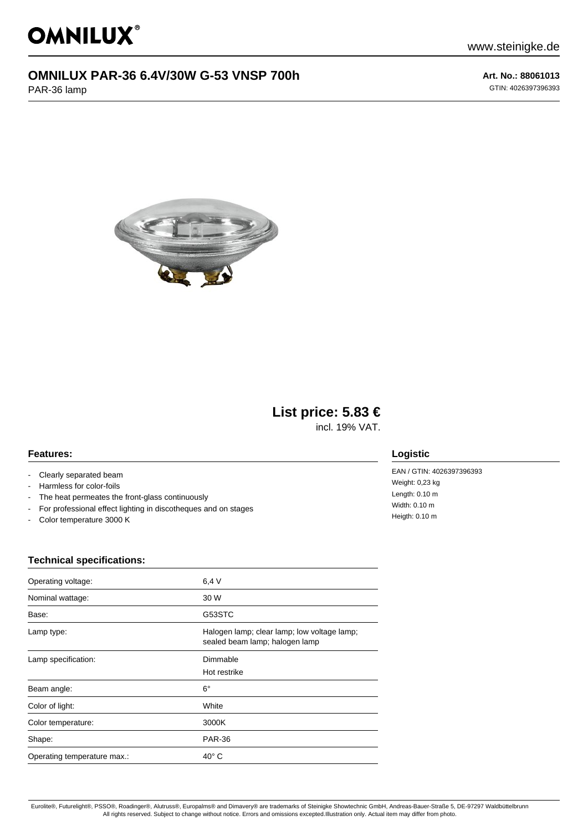# **OMNILUX PAR-36 6.4V/30W G-53 VNSP 700h**

PAR-36 lamp

**Art. No.: 88061013** GTIN: 4026397396393



## **List price: 5.83 €**

incl. 19% VAT.

#### **Features:**

- Clearly separated beam
- Harmless for color-foils
- The heat permeates the front-glass continuously
- For professional effect lighting in discotheques and on stages
- Color temperature 3000 K

### **Logistic**

EAN / GTIN: 4026397396393 Weight: 0,23 kg Length: 0.10 m Width: 0.10 m Heigth: 0.10 m

#### **Technical specifications:**

| Operating voltage:          | 6.4V                                                                          |
|-----------------------------|-------------------------------------------------------------------------------|
| Nominal wattage:            | 30 W                                                                          |
| Base:                       | G53STC                                                                        |
| Lamp type:                  | Halogen lamp; clear lamp; low voltage lamp;<br>sealed beam lamp; halogen lamp |
| Lamp specification:         | Dimmable<br>Hot restrike                                                      |
| Beam angle:                 | $6^{\circ}$                                                                   |
| Color of light:             | White                                                                         |
| Color temperature:          | 3000K                                                                         |
| Shape:                      | <b>PAR-36</b>                                                                 |
| Operating temperature max.: | $40^\circ$ C                                                                  |